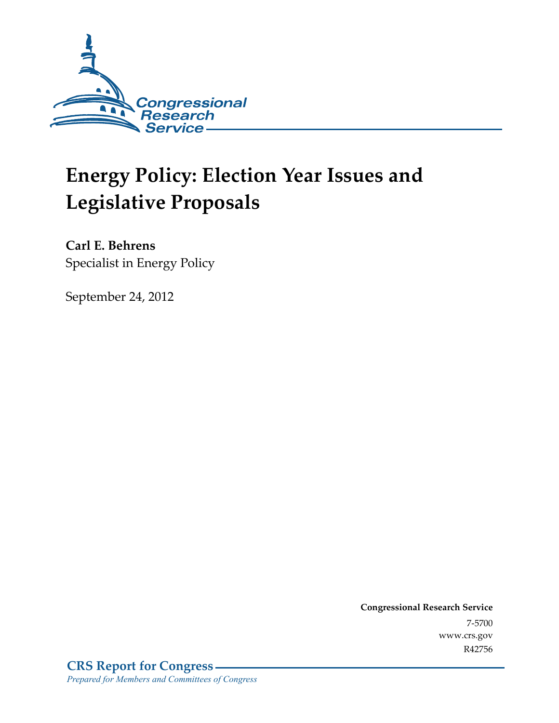

# **Energy Policy: Election Year Issues and Legislative Proposals**

**Carl E. Behrens**  Specialist in Energy Policy

September 24, 2012

**Congressional Research Service**  7-5700 www.crs.gov R42756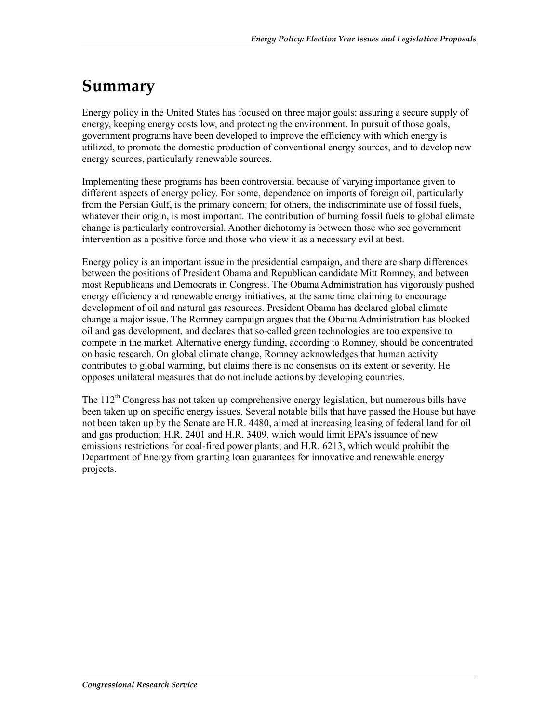## **Summary**

Energy policy in the United States has focused on three major goals: assuring a secure supply of energy, keeping energy costs low, and protecting the environment. In pursuit of those goals, government programs have been developed to improve the efficiency with which energy is utilized, to promote the domestic production of conventional energy sources, and to develop new energy sources, particularly renewable sources.

Implementing these programs has been controversial because of varying importance given to different aspects of energy policy. For some, dependence on imports of foreign oil, particularly from the Persian Gulf, is the primary concern; for others, the indiscriminate use of fossil fuels, whatever their origin, is most important. The contribution of burning fossil fuels to global climate change is particularly controversial. Another dichotomy is between those who see government intervention as a positive force and those who view it as a necessary evil at best.

Energy policy is an important issue in the presidential campaign, and there are sharp differences between the positions of President Obama and Republican candidate Mitt Romney, and between most Republicans and Democrats in Congress. The Obama Administration has vigorously pushed energy efficiency and renewable energy initiatives, at the same time claiming to encourage development of oil and natural gas resources. President Obama has declared global climate change a major issue. The Romney campaign argues that the Obama Administration has blocked oil and gas development, and declares that so-called green technologies are too expensive to compete in the market. Alternative energy funding, according to Romney, should be concentrated on basic research. On global climate change, Romney acknowledges that human activity contributes to global warming, but claims there is no consensus on its extent or severity. He opposes unilateral measures that do not include actions by developing countries.

The  $112^{th}$  Congress has not taken up comprehensive energy legislation, but numerous bills have been taken up on specific energy issues. Several notable bills that have passed the House but have not been taken up by the Senate are H.R. 4480, aimed at increasing leasing of federal land for oil and gas production; H.R. 2401 and H.R. 3409, which would limit EPA's issuance of new emissions restrictions for coal-fired power plants; and H.R. 6213, which would prohibit the Department of Energy from granting loan guarantees for innovative and renewable energy projects.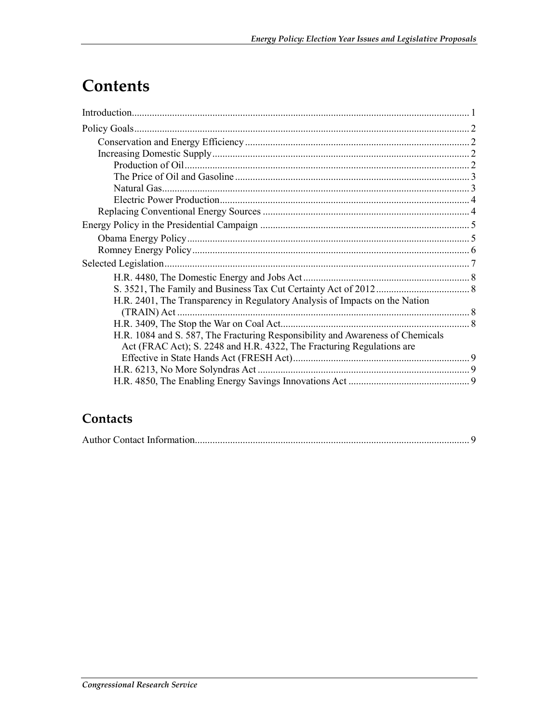## Contents

| H.R. 2401, The Transparency in Regulatory Analysis of Impacts on the Nation    |  |
|--------------------------------------------------------------------------------|--|
| $(TRAIN)$ Act                                                                  |  |
|                                                                                |  |
| H.R. 1084 and S. 587, The Fracturing Responsibility and Awareness of Chemicals |  |
| Act (FRAC Act); S. 2248 and H.R. 4322, The Fracturing Regulations are          |  |
|                                                                                |  |
|                                                                                |  |
|                                                                                |  |

### Contacts

|--|--|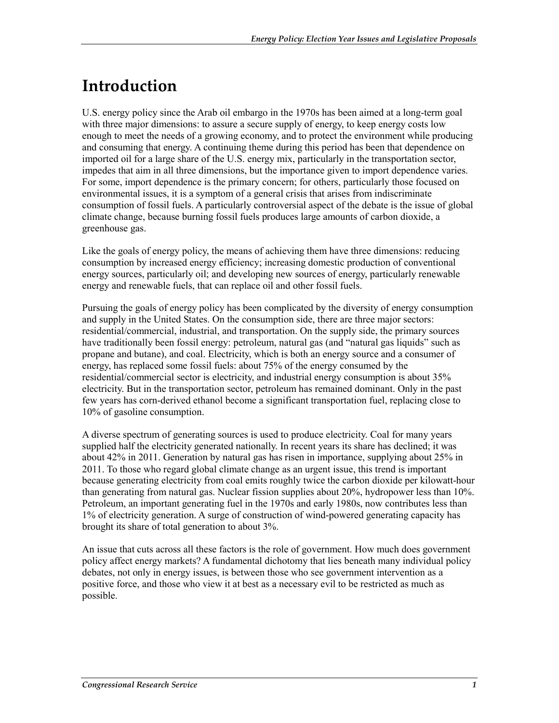## **Introduction**

U.S. energy policy since the Arab oil embargo in the 1970s has been aimed at a long-term goal with three major dimensions: to assure a secure supply of energy, to keep energy costs low enough to meet the needs of a growing economy, and to protect the environment while producing and consuming that energy. A continuing theme during this period has been that dependence on imported oil for a large share of the U.S. energy mix, particularly in the transportation sector, impedes that aim in all three dimensions, but the importance given to import dependence varies. For some, import dependence is the primary concern; for others, particularly those focused on environmental issues, it is a symptom of a general crisis that arises from indiscriminate consumption of fossil fuels. A particularly controversial aspect of the debate is the issue of global climate change, because burning fossil fuels produces large amounts of carbon dioxide, a greenhouse gas.

Like the goals of energy policy, the means of achieving them have three dimensions: reducing consumption by increased energy efficiency; increasing domestic production of conventional energy sources, particularly oil; and developing new sources of energy, particularly renewable energy and renewable fuels, that can replace oil and other fossil fuels.

Pursuing the goals of energy policy has been complicated by the diversity of energy consumption and supply in the United States. On the consumption side, there are three major sectors: residential/commercial, industrial, and transportation. On the supply side, the primary sources have traditionally been fossil energy: petroleum, natural gas (and "natural gas liquids" such as propane and butane), and coal. Electricity, which is both an energy source and a consumer of energy, has replaced some fossil fuels: about 75% of the energy consumed by the residential/commercial sector is electricity, and industrial energy consumption is about 35% electricity. But in the transportation sector, petroleum has remained dominant. Only in the past few years has corn-derived ethanol become a significant transportation fuel, replacing close to 10% of gasoline consumption.

A diverse spectrum of generating sources is used to produce electricity. Coal for many years supplied half the electricity generated nationally. In recent years its share has declined; it was about 42% in 2011. Generation by natural gas has risen in importance, supplying about 25% in 2011. To those who regard global climate change as an urgent issue, this trend is important because generating electricity from coal emits roughly twice the carbon dioxide per kilowatt-hour than generating from natural gas. Nuclear fission supplies about 20%, hydropower less than 10%. Petroleum, an important generating fuel in the 1970s and early 1980s, now contributes less than 1% of electricity generation. A surge of construction of wind-powered generating capacity has brought its share of total generation to about 3%.

An issue that cuts across all these factors is the role of government. How much does government policy affect energy markets? A fundamental dichotomy that lies beneath many individual policy debates, not only in energy issues, is between those who see government intervention as a positive force, and those who view it at best as a necessary evil to be restricted as much as possible.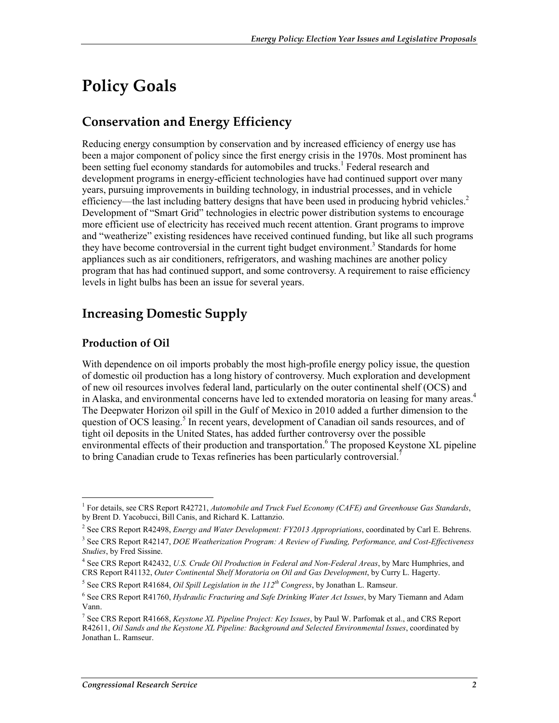## **Policy Goals**

### **Conservation and Energy Efficiency**

Reducing energy consumption by conservation and by increased efficiency of energy use has been a major component of policy since the first energy crisis in the 1970s. Most prominent has been setting fuel economy standards for automobiles and trucks.<sup>1</sup> Federal research and development programs in energy-efficient technologies have had continued support over many years, pursuing improvements in building technology, in industrial processes, and in vehicle efficiency—the last including battery designs that have been used in producing hybrid vehicles.<sup>2</sup> Development of "Smart Grid" technologies in electric power distribution systems to encourage more efficient use of electricity has received much recent attention. Grant programs to improve and "weatherize" existing residences have received continued funding, but like all such programs they have become controversial in the current tight budget environment.<sup>3</sup> Standards for home appliances such as air conditioners, refrigerators, and washing machines are another policy program that has had continued support, and some controversy. A requirement to raise efficiency levels in light bulbs has been an issue for several years.

## **Increasing Domestic Supply**

### **Production of Oil**

<u>.</u>

With dependence on oil imports probably the most high-profile energy policy issue, the question of domestic oil production has a long history of controversy. Much exploration and development of new oil resources involves federal land, particularly on the outer continental shelf (OCS) and in Alaska, and environmental concerns have led to extended moratoria on leasing for many areas.<sup>4</sup> The Deepwater Horizon oil spill in the Gulf of Mexico in 2010 added a further dimension to the question of OCS leasing.<sup>5</sup> In recent years, development of Canadian oil sands resources, and of tight oil deposits in the United States, has added further controversy over the possible environmental effects of their production and transportation.<sup>6</sup> The proposed Keystone XL pipeline to bring Canadian crude to Texas refineries has been particularly controversial.<sup>7</sup>

<sup>&</sup>lt;sup>1</sup> For details, see CRS Report R42721, *Automobile and Truck Fuel Economy (CAFE) and Greenhouse Gas Standards*, by Brent D. Yacobucci, Bill Canis, and Richard K. Lattanzio.

<sup>2</sup> See CRS Report R42498, *Energy and Water Development: FY2013 Appropriations*, coordinated by Carl E. Behrens.

<sup>3</sup> See CRS Report R42147, *DOE Weatherization Program: A Review of Funding, Performance, and Cost-Effectiveness Studies*, by Fred Sissine.

<sup>4</sup> See CRS Report R42432, *U.S. Crude Oil Production in Federal and Non-Federal Areas*, by Marc Humphries, and CRS Report R41132, *Outer Continental Shelf Moratoria on Oil and Gas Development*, by Curry L. Hagerty.

<sup>5</sup> See CRS Report R41684, *Oil Spill Legislation in the 112th Congress*, by Jonathan L. Ramseur.

<sup>6</sup> See CRS Report R41760, *Hydraulic Fracturing and Safe Drinking Water Act Issues*, by Mary Tiemann and Adam Vann.

<sup>7</sup> See CRS Report R41668, *Keystone XL Pipeline Project: Key Issues*, by Paul W. Parfomak et al., and CRS Report R42611, *Oil Sands and the Keystone XL Pipeline: Background and Selected Environmental Issues*, coordinated by Jonathan L. Ramseur.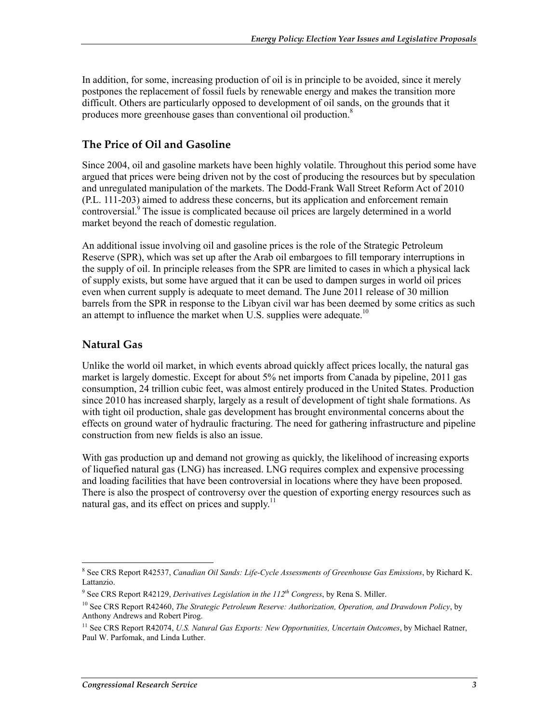In addition, for some, increasing production of oil is in principle to be avoided, since it merely postpones the replacement of fossil fuels by renewable energy and makes the transition more difficult. Others are particularly opposed to development of oil sands, on the grounds that it produces more greenhouse gases than conventional oil production.<sup>8</sup>

### **The Price of Oil and Gasoline**

Since 2004, oil and gasoline markets have been highly volatile. Throughout this period some have argued that prices were being driven not by the cost of producing the resources but by speculation and unregulated manipulation of the markets. The Dodd-Frank Wall Street Reform Act of 2010 (P.L. 111-203) aimed to address these concerns, but its application and enforcement remain controversial.<sup>9</sup> The issue is complicated because oil prices are largely determined in a world market beyond the reach of domestic regulation.

An additional issue involving oil and gasoline prices is the role of the Strategic Petroleum Reserve (SPR), which was set up after the Arab oil embargoes to fill temporary interruptions in the supply of oil. In principle releases from the SPR are limited to cases in which a physical lack of supply exists, but some have argued that it can be used to dampen surges in world oil prices even when current supply is adequate to meet demand. The June 2011 release of 30 million barrels from the SPR in response to the Libyan civil war has been deemed by some critics as such an attempt to influence the market when U.S. supplies were adequate.<sup>10</sup>

### **Natural Gas**

Unlike the world oil market, in which events abroad quickly affect prices locally, the natural gas market is largely domestic. Except for about 5% net imports from Canada by pipeline, 2011 gas consumption, 24 trillion cubic feet, was almost entirely produced in the United States. Production since 2010 has increased sharply, largely as a result of development of tight shale formations. As with tight oil production, shale gas development has brought environmental concerns about the effects on ground water of hydraulic fracturing. The need for gathering infrastructure and pipeline construction from new fields is also an issue.

With gas production up and demand not growing as quickly, the likelihood of increasing exports of liquefied natural gas (LNG) has increased. LNG requires complex and expensive processing and loading facilities that have been controversial in locations where they have been proposed. There is also the prospect of controversy over the question of exporting energy resources such as natural gas, and its effect on prices and supply.<sup>11</sup>

 8 See CRS Report R42537, *Canadian Oil Sands: Life-Cycle Assessments of Greenhouse Gas Emissions*, by Richard K. Lattanzio.

<sup>&</sup>lt;sup>9</sup> See CRS Report R42129, *Derivatives Legislation in the 112<sup>th</sup> Congress*, by Rena S. Miller.

<sup>10</sup> See CRS Report R42460, *The Strategic Petroleum Reserve: Authorization, Operation, and Drawdown Policy*, by Anthony Andrews and Robert Pirog.

<sup>&</sup>lt;sup>11</sup> See CRS Report R42074, *U.S. Natural Gas Exports: New Opportunities, Uncertain Outcomes*, by Michael Ratner, Paul W. Parfomak, and Linda Luther.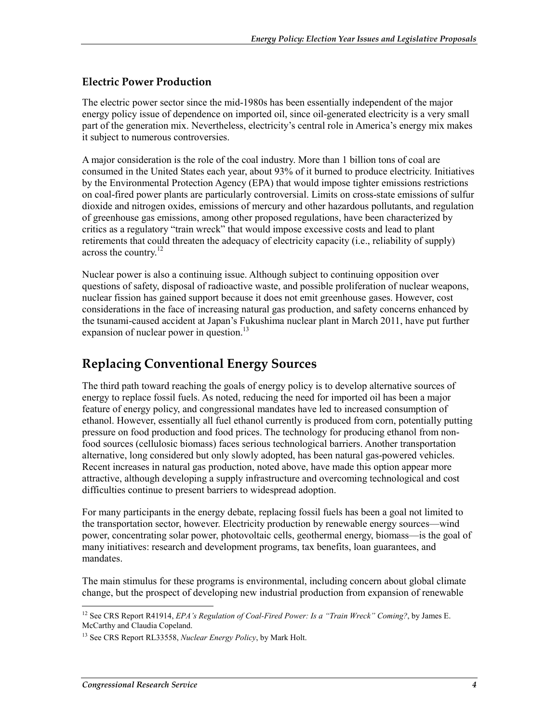#### **Electric Power Production**

The electric power sector since the mid-1980s has been essentially independent of the major energy policy issue of dependence on imported oil, since oil-generated electricity is a very small part of the generation mix. Nevertheless, electricity's central role in America's energy mix makes it subject to numerous controversies.

A major consideration is the role of the coal industry. More than 1 billion tons of coal are consumed in the United States each year, about 93% of it burned to produce electricity. Initiatives by the Environmental Protection Agency (EPA) that would impose tighter emissions restrictions on coal-fired power plants are particularly controversial. Limits on cross-state emissions of sulfur dioxide and nitrogen oxides, emissions of mercury and other hazardous pollutants, and regulation of greenhouse gas emissions, among other proposed regulations, have been characterized by critics as a regulatory "train wreck" that would impose excessive costs and lead to plant retirements that could threaten the adequacy of electricity capacity (i.e., reliability of supply) across the country.<sup>12</sup>

Nuclear power is also a continuing issue. Although subject to continuing opposition over questions of safety, disposal of radioactive waste, and possible proliferation of nuclear weapons, nuclear fission has gained support because it does not emit greenhouse gases. However, cost considerations in the face of increasing natural gas production, and safety concerns enhanced by the tsunami-caused accident at Japan's Fukushima nuclear plant in March 2011, have put further expansion of nuclear power in question. $^{13}$ 

### **Replacing Conventional Energy Sources**

The third path toward reaching the goals of energy policy is to develop alternative sources of energy to replace fossil fuels. As noted, reducing the need for imported oil has been a major feature of energy policy, and congressional mandates have led to increased consumption of ethanol. However, essentially all fuel ethanol currently is produced from corn, potentially putting pressure on food production and food prices. The technology for producing ethanol from nonfood sources (cellulosic biomass) faces serious technological barriers. Another transportation alternative, long considered but only slowly adopted, has been natural gas-powered vehicles. Recent increases in natural gas production, noted above, have made this option appear more attractive, although developing a supply infrastructure and overcoming technological and cost difficulties continue to present barriers to widespread adoption.

For many participants in the energy debate, replacing fossil fuels has been a goal not limited to the transportation sector, however. Electricity production by renewable energy sources—wind power, concentrating solar power, photovoltaic cells, geothermal energy, biomass—is the goal of many initiatives: research and development programs, tax benefits, loan guarantees, and mandates.

The main stimulus for these programs is environmental, including concern about global climate change, but the prospect of developing new industrial production from expansion of renewable

<sup>12</sup> See CRS Report R41914, *EPA's Regulation of Coal-Fired Power: Is a "Train Wreck" Coming?*, by James E. McCarthy and Claudia Copeland.

<sup>13</sup> See CRS Report RL33558, *Nuclear Energy Policy*, by Mark Holt.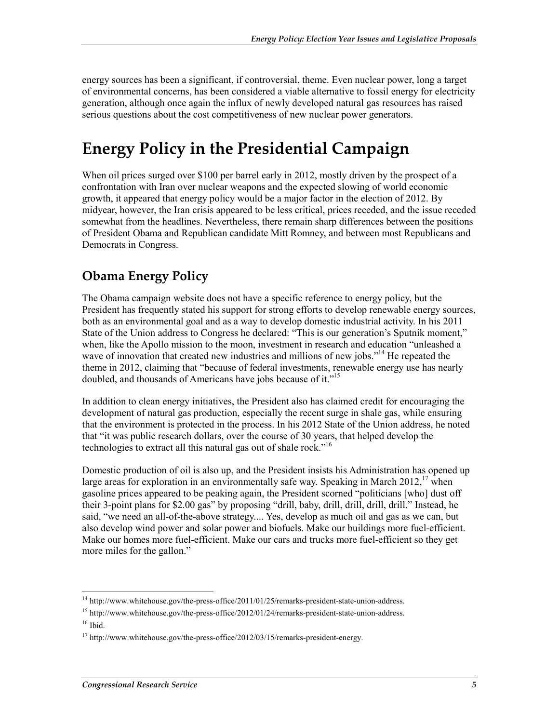energy sources has been a significant, if controversial, theme. Even nuclear power, long a target of environmental concerns, has been considered a viable alternative to fossil energy for electricity generation, although once again the influx of newly developed natural gas resources has raised serious questions about the cost competitiveness of new nuclear power generators.

## **Energy Policy in the Presidential Campaign**

When oil prices surged over \$100 per barrel early in 2012, mostly driven by the prospect of a confrontation with Iran over nuclear weapons and the expected slowing of world economic growth, it appeared that energy policy would be a major factor in the election of 2012. By midyear, however, the Iran crisis appeared to be less critical, prices receded, and the issue receded somewhat from the headlines. Nevertheless, there remain sharp differences between the positions of President Obama and Republican candidate Mitt Romney, and between most Republicans and Democrats in Congress.

## **Obama Energy Policy**

The Obama campaign website does not have a specific reference to energy policy, but the President has frequently stated his support for strong efforts to develop renewable energy sources, both as an environmental goal and as a way to develop domestic industrial activity. In his 2011 State of the Union address to Congress he declared: "This is our generation's Sputnik moment," when, like the Apollo mission to the moon, investment in research and education "unleashed a wave of innovation that created new industries and millions of new jobs."<sup>14</sup> He repeated the theme in 2012, claiming that "because of federal investments, renewable energy use has nearly doubled, and thousands of Americans have jobs because of it."<sup>15</sup>

In addition to clean energy initiatives, the President also has claimed credit for encouraging the development of natural gas production, especially the recent surge in shale gas, while ensuring that the environment is protected in the process. In his 2012 State of the Union address, he noted that "it was public research dollars, over the course of 30 years, that helped develop the technologies to extract all this natural gas out of shale rock."16

Domestic production of oil is also up, and the President insists his Administration has opened up large areas for exploration in an environmentally safe way. Speaking in March  $2012$ <sup>17</sup> when gasoline prices appeared to be peaking again, the President scorned "politicians [who] dust off their 3-point plans for \$2.00 gas" by proposing "drill, baby, drill, drill, drill, drill." Instead, he said, "we need an all-of-the-above strategy.... Yes, develop as much oil and gas as we can, but also develop wind power and solar power and biofuels. Make our buildings more fuel-efficient. Make our homes more fuel-efficient. Make our cars and trucks more fuel-efficient so they get more miles for the gallon."

<sup>1</sup> <sup>14</sup> http://www.whitehouse.gov/the-press-office/2011/01/25/remarks-president-state-union-address.

<sup>&</sup>lt;sup>15</sup> http://www.whitehouse.gov/the-press-office/2012/01/24/remarks-president-state-union-address.

 $16$  Ibid.

 $17 \text{ http://www.whitehouse.gov/the-press-office}/2012/03/15/remarks-president-energy.}$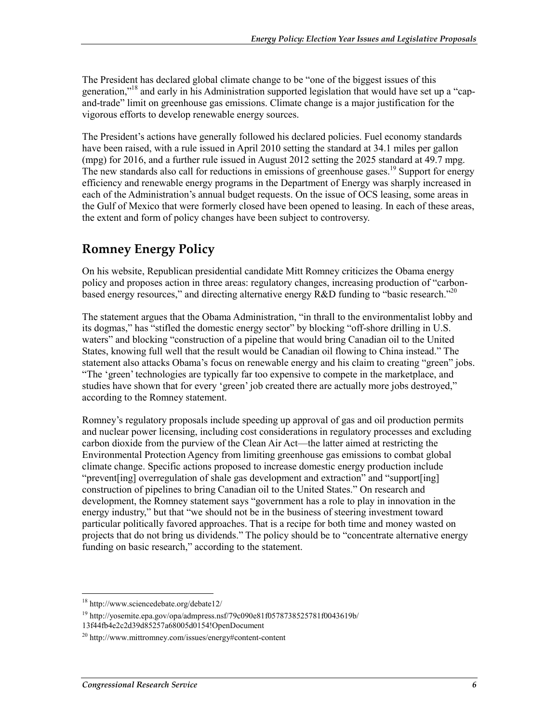The President has declared global climate change to be "one of the biggest issues of this generation,"<sup>18</sup> and early in his Administration supported legislation that would have set up a "capand-trade" limit on greenhouse gas emissions. Climate change is a major justification for the vigorous efforts to develop renewable energy sources.

The President's actions have generally followed his declared policies. Fuel economy standards have been raised, with a rule issued in April 2010 setting the standard at 34.1 miles per gallon (mpg) for 2016, and a further rule issued in August 2012 setting the 2025 standard at 49.7 mpg. The new standards also call for reductions in emissions of greenhouse gases.<sup>19</sup> Support for energy efficiency and renewable energy programs in the Department of Energy was sharply increased in each of the Administration's annual budget requests. On the issue of OCS leasing, some areas in the Gulf of Mexico that were formerly closed have been opened to leasing. In each of these areas, the extent and form of policy changes have been subject to controversy.

## **Romney Energy Policy**

On his website, Republican presidential candidate Mitt Romney criticizes the Obama energy policy and proposes action in three areas: regulatory changes, increasing production of "carbonbased energy resources," and directing alternative energy  $R&D$  funding to "basic research."<sup>20</sup>

The statement argues that the Obama Administration, "in thrall to the environmentalist lobby and its dogmas," has "stifled the domestic energy sector" by blocking "off-shore drilling in U.S. waters" and blocking "construction of a pipeline that would bring Canadian oil to the United States, knowing full well that the result would be Canadian oil flowing to China instead." The statement also attacks Obama's focus on renewable energy and his claim to creating "green" jobs. "The 'green' technologies are typically far too expensive to compete in the marketplace, and studies have shown that for every 'green' job created there are actually more jobs destroyed," according to the Romney statement.

Romney's regulatory proposals include speeding up approval of gas and oil production permits and nuclear power licensing, including cost considerations in regulatory processes and excluding carbon dioxide from the purview of the Clean Air Act—the latter aimed at restricting the Environmental Protection Agency from limiting greenhouse gas emissions to combat global climate change. Specific actions proposed to increase domestic energy production include "prevent[ing] overregulation of shale gas development and extraction" and "support[ing] construction of pipelines to bring Canadian oil to the United States." On research and development, the Romney statement says "government has a role to play in innovation in the energy industry," but that "we should not be in the business of steering investment toward particular politically favored approaches. That is a recipe for both time and money wasted on projects that do not bring us dividends." The policy should be to "concentrate alternative energy funding on basic research," according to the statement.

<sup>18</sup> http://www.sciencedebate.org/debate12/

<sup>19</sup> http://yosemite.epa.gov/opa/admpress.nsf/79c090e81f0578738525781f0043619b/ 13f44fb4e2c2d39d85257a68005d0154!OpenDocument

<sup>20</sup> http://www.mittromney.com/issues/energy#content-content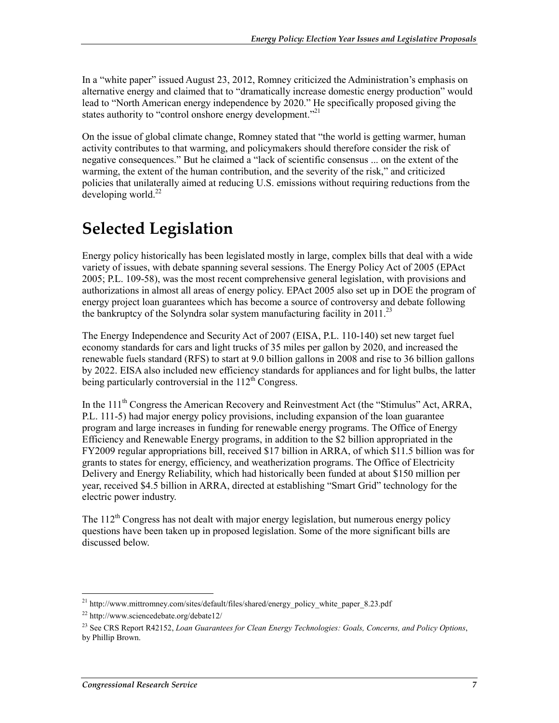In a "white paper" issued August 23, 2012, Romney criticized the Administration's emphasis on alternative energy and claimed that to "dramatically increase domestic energy production" would lead to "North American energy independence by 2020." He specifically proposed giving the states authority to "control onshore energy development."<sup>21</sup>

On the issue of global climate change, Romney stated that "the world is getting warmer, human activity contributes to that warming, and policymakers should therefore consider the risk of negative consequences." But he claimed a "lack of scientific consensus ... on the extent of the warming, the extent of the human contribution, and the severity of the risk," and criticized policies that unilaterally aimed at reducing U.S. emissions without requiring reductions from the developing world. $^{22}$ 

## **Selected Legislation**

Energy policy historically has been legislated mostly in large, complex bills that deal with a wide variety of issues, with debate spanning several sessions. The Energy Policy Act of 2005 (EPAct 2005; P.L. 109-58), was the most recent comprehensive general legislation, with provisions and authorizations in almost all areas of energy policy. EPAct 2005 also set up in DOE the program of energy project loan guarantees which has become a source of controversy and debate following the bankruptcy of the Solyndra solar system manufacturing facility in 2011.<sup>23</sup>

The Energy Independence and Security Act of 2007 (EISA, P.L. 110-140) set new target fuel economy standards for cars and light trucks of 35 miles per gallon by 2020, and increased the renewable fuels standard (RFS) to start at 9.0 billion gallons in 2008 and rise to 36 billion gallons by 2022. EISA also included new efficiency standards for appliances and for light bulbs, the latter being particularly controversial in the  $112<sup>th</sup>$  Congress.

In the 111<sup>th</sup> Congress the American Recovery and Reinvestment Act (the "Stimulus" Act, ARRA, P.L. 111-5) had major energy policy provisions, including expansion of the loan guarantee program and large increases in funding for renewable energy programs. The Office of Energy Efficiency and Renewable Energy programs, in addition to the \$2 billion appropriated in the FY2009 regular appropriations bill, received \$17 billion in ARRA, of which \$11.5 billion was for grants to states for energy, efficiency, and weatherization programs. The Office of Electricity Delivery and Energy Reliability, which had historically been funded at about \$150 million per year, received \$4.5 billion in ARRA, directed at establishing "Smart Grid" technology for the electric power industry.

The  $112<sup>th</sup>$  Congress has not dealt with major energy legislation, but numerous energy policy questions have been taken up in proposed legislation. Some of the more significant bills are discussed below.

<sup>&</sup>lt;sup>21</sup> http://www.mittromney.com/sites/default/files/shared/energy\_policy\_white\_paper\_8.23.pdf

<sup>22</sup> http://www.sciencedebate.org/debate12/

<sup>23</sup> See CRS Report R42152, *Loan Guarantees for Clean Energy Technologies: Goals, Concerns, and Policy Options*, by Phillip Brown.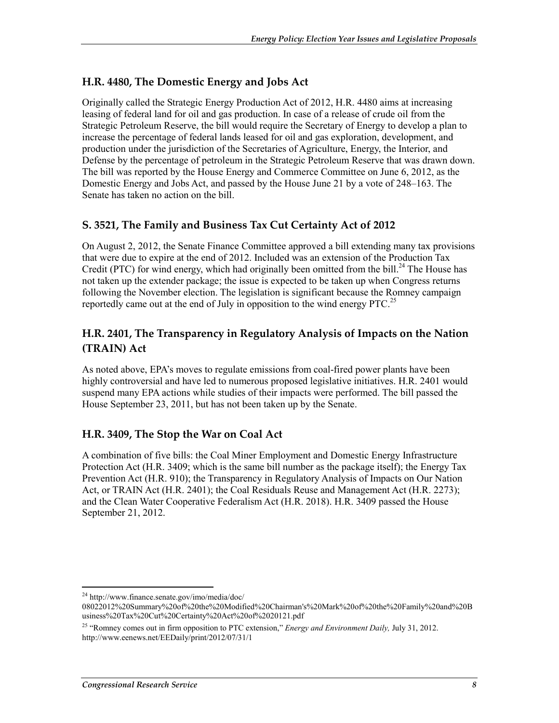### **H.R. 4480, The Domestic Energy and Jobs Act**

Originally called the Strategic Energy Production Act of 2012, H.R. 4480 aims at increasing leasing of federal land for oil and gas production. In case of a release of crude oil from the Strategic Petroleum Reserve, the bill would require the Secretary of Energy to develop a plan to increase the percentage of federal lands leased for oil and gas exploration, development, and production under the jurisdiction of the Secretaries of Agriculture, Energy, the Interior, and Defense by the percentage of petroleum in the Strategic Petroleum Reserve that was drawn down. The bill was reported by the House Energy and Commerce Committee on June 6, 2012, as the Domestic Energy and Jobs Act, and passed by the House June 21 by a vote of 248–163. The Senate has taken no action on the bill.

#### **S. 3521, The Family and Business Tax Cut Certainty Act of 2012**

On August 2, 2012, the Senate Finance Committee approved a bill extending many tax provisions that were due to expire at the end of 2012. Included was an extension of the Production Tax Credit (PTC) for wind energy, which had originally been omitted from the bill.<sup>24</sup> The House has not taken up the extender package; the issue is expected to be taken up when Congress returns following the November election. The legislation is significant because the Romney campaign reportedly came out at the end of July in opposition to the wind energy PTC.<sup>25</sup>

### **H.R. 2401, The Transparency in Regulatory Analysis of Impacts on the Nation (TRAIN) Act**

As noted above, EPA's moves to regulate emissions from coal-fired power plants have been highly controversial and have led to numerous proposed legislative initiatives. H.R. 2401 would suspend many EPA actions while studies of their impacts were performed. The bill passed the House September 23, 2011, but has not been taken up by the Senate.

### **H.R. 3409, The Stop the War on Coal Act**

A combination of five bills: the Coal Miner Employment and Domestic Energy Infrastructure Protection Act (H.R. 3409; which is the same bill number as the package itself); the Energy Tax Prevention Act (H.R. 910); the Transparency in Regulatory Analysis of Impacts on Our Nation Act, or TRAIN Act (H.R. 2401); the Coal Residuals Reuse and Management Act (H.R. 2273); and the Clean Water Cooperative Federalism Act (H.R. 2018). H.R. 3409 passed the House September 21, 2012.

<sup>24</sup> http://www.finance.senate.gov/imo/media/doc/

<sup>08022012%20</sup>Summary%20of%20the%20Modified%20Chairman's%20Mark%20of%20the%20Family%20and%20B usiness%20Tax%20Cut%20Certainty%20Act%20of%2020121.pdf

<sup>25 &</sup>quot;Romney comes out in firm opposition to PTC extension," *Energy and Environment Daily,* July 31, 2012. http://www.eenews.net/EEDaily/print/2012/07/31/1